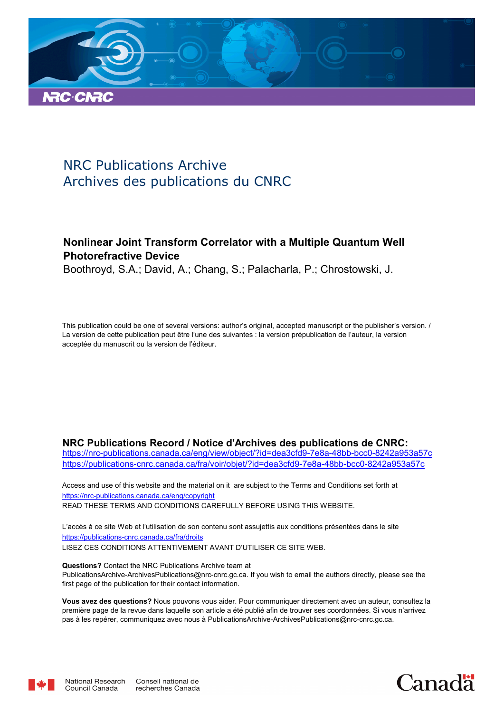

# NRC Publications Archive Archives des publications du CNRC

# **Nonlinear Joint Transform Correlator with a Multiple Quantum Well Photorefractive Device**

Boothroyd, S.A.; David, A.; Chang, S.; Palacharla, P.; Chrostowski, J.

This publication could be one of several versions: author's original, accepted manuscript or the publisher's version. / La version de cette publication peut être l'une des suivantes : la version prépublication de l'auteur, la version acceptée du manuscrit ou la version de l'éditeur.

### **NRC Publications Record / Notice d'Archives des publications de CNRC:**

https://nrc-publications.canada.ca/eng/view/object/?id=dea3cfd9-7e8a-48bb-bcc0-8242a953a57c https://publications-cnrc.canada.ca/fra/voir/objet/?id=dea3cfd9-7e8a-48bb-bcc0-8242a953a57c

READ THESE TERMS AND CONDITIONS CAREFULLY BEFORE USING THIS WEBSITE. https://nrc-publications.canada.ca/eng/copyright Access and use of this website and the material on it are subject to the Terms and Conditions set forth at

https://publications-cnrc.canada.ca/fra/droits L'accès à ce site Web et l'utilisation de son contenu sont assujettis aux conditions présentées dans le site LISEZ CES CONDITIONS ATTENTIVEMENT AVANT D'UTILISER CE SITE WEB.

**Questions?** Contact the NRC Publications Archive team at PublicationsArchive-ArchivesPublications@nrc-cnrc.gc.ca. If you wish to email the authors directly, please see the first page of the publication for their contact information.

**Vous avez des questions?** Nous pouvons vous aider. Pour communiquer directement avec un auteur, consultez la première page de la revue dans laquelle son article a été publié afin de trouver ses coordonnées. Si vous n'arrivez pas à les repérer, communiquez avec nous à PublicationsArchive-ArchivesPublications@nrc-cnrc.gc.ca.



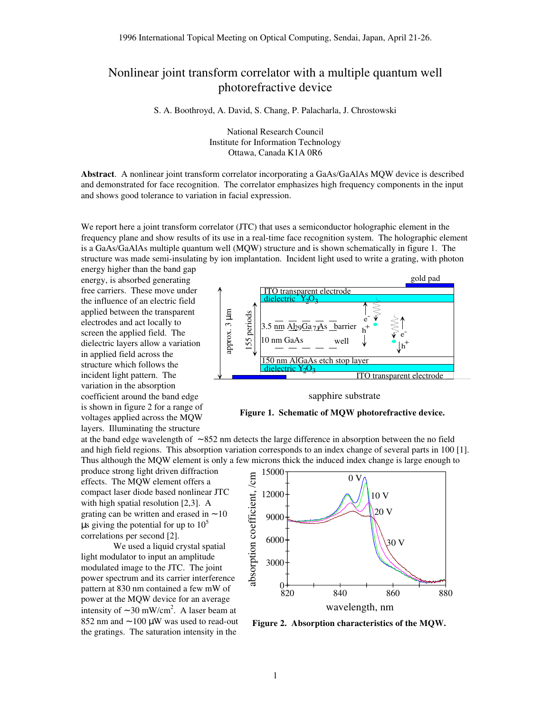## Nonlinear joint transform correlator with a multiple quantum well photorefractive device

S. A. Boothroyd, A. David, S. Chang, P. Palacharla, J. Chrostowski

National Research Council Institute for Information Technology Ottawa, Canada K1A 0R6

**Abstract**. A nonlinear joint transform correlator incorporating a GaAs/GaAlAs MQW device is described and demonstrated for face recognition. The correlator emphasizes high frequency components in the input and shows good tolerance to variation in facial expression.

We report here a joint transform correlator (JTC) that uses a semiconductor holographic element in the frequency plane and show results of its use in a real-time face recognition system. The holographic element is a GaAs/GaAlAs multiple quantum well (MQW) structure and is shown schematically in figure 1. The structure was made semi-insulating by ion implantation. Incident light used to write a grating, with photon

energy higher than the band gap energy, is absorbed generating free carriers. These move under the influence of an electric field applied between the transparent electrodes and act locally to screen the applied field. The dielectric layers allow a variation in applied field across the structure which follows the incident light pattern. The variation in the absorption coefficient around the band edge is shown in figure 2 for a range of voltages applied across the MQW layers. Illuminating the structure



sapphire substrate



at the band edge wavelength of ∼ 852 nm detects the large difference in absorption between the no field and high field regions. This absorption variation corresponds to an index change of several parts in 100 [1]. Thus although the MQW element is only a few microns thick the induced index change is large enough to

produce strong light driven diffraction effects. The MQW element offers a compact laser diode based nonlinear JTC with high spatial resolution [2,3]. A grating can be written and erased in ∼ 10 us giving the potential for up to  $10<sup>5</sup>$ correlations per second [2].

We used a liquid crystal spatial light modulator to input an amplitude modulated image to the JTC. The joint power spectrum and its carrier interference pattern at 830 nm contained a few mW of power at the MQW device for an average intensity of  $\sim$  30 mW/cm<sup>2</sup>. A laser beam at 852 nm and ∼ 100 µW was used to read-out the gratings. The saturation intensity in the



**Figure 2. Absorption characteristics of the MQW.**